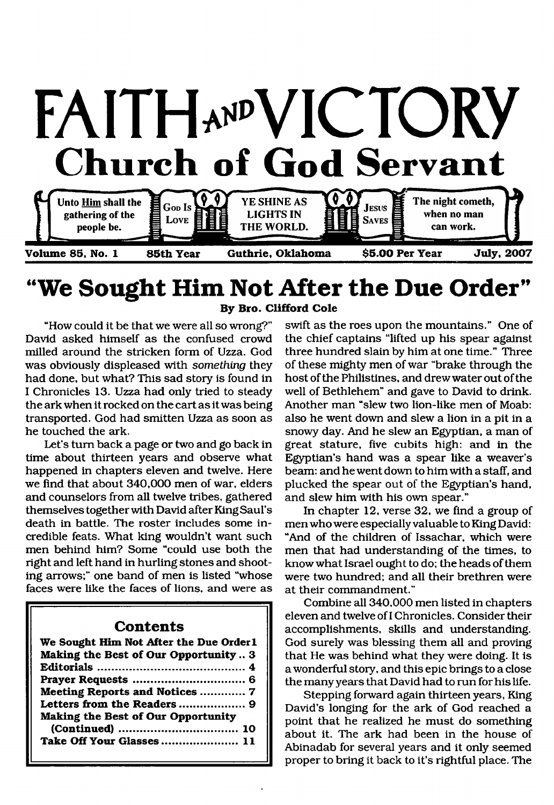

# **"We Sought Him Not After the Due Order" By Bro. Clifford Cole**

"How could it be that we were all so wrong?" David asked himself as the confused crowd milled around the stricken form of Uzza. God was obviously displeased with *something* they had done, but what? This sad story is found in I Chronicles 13. Uzza had only tried to steady the ark when it rocked on the cart as it was being transported. God had smitten Uzza as soon as he touched the ark.

Let's turn back a page or two and go back in time about thirteen years and observe what happened in chapters eleven and twelve. Here we find that about 340,000 men of war, elders and counselors from all twelve tribes, gathered themselves together with David after King Saul's death in battle. The roster includes some incredible feats. What king wouldn't want such men behind him? Some "could use both the right and left hand in hurling stones and shooting arrows;" one band of men is listed "whose faces were like the faces of lions, and were as

## **Contents**

| We Sought Him Not After the Due Order1    |
|-------------------------------------------|
| Making the Best of Our Opportunity 3      |
|                                           |
|                                           |
| Meeting Reports and Notices  7            |
|                                           |
| <b>Making the Best of Our Opportunity</b> |
|                                           |
| Take Off Your Glasses 11                  |
|                                           |

swift as the roes upon the mountains." One of the chief captains "lifted up his spear against three hundred slain by him at one time." Three of these mighty men of war "brake through the host of the Philistines, and drew water out of the well of Bethlehem" and gave to David to drink. Another man "slew two lion-like men of Moab: also he went down and slew a lion in a pit in a snowy day. And he slew an Egyptian, a man of great stature, five cubits high: and in the Egyptian's hand was a spear like a weaver's beam: and he went down to him with a staff, and plucked the spear out of the Egyptian's hand, and slew him with his own spear."

In chapter 12, verse 32, we find a group of men who were especially valuable to King David: "And of the children of Issachar, which were men that had understanding of the times, to know what Israel ought to do; the heads of them were two hundred; and all their brethren were at their commandment."

Combine all 340,000 men listed in chapters eleven and twelve of I Chronicles. Consider their accomplishments, skills and understanding. God surely was blessing them all and proving that He was behind what they were doing. It is a wonderful story, and this epic brings to a close the many years that David had to run for his life.

Stepping forward again thirteen years, King David's longing for the ark of God reached a point that he realized he must do something about it. The ark had been in the house of Abinadab for several years and it only seemed proper to bring it back to it's rightful place. The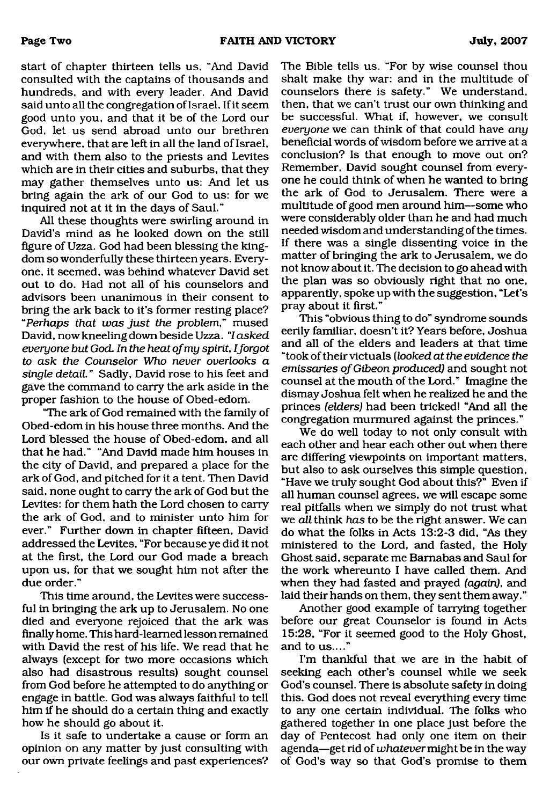start of chapter thirteen tells us. "And David consulted with the captains of thousands and hundreds, and with every leader. And David said unto all the congregation of Israel, If it seem good unto you, and that it be of the Lord our God, let us send abroad unto our brethren everywhere, that are left in all the land of Israel, and with them also to the priests and Levites which are in their cities and suburbs, that they may gather themselves unto us: And let us bring again the ark of our God to us: for we inquired not at it in the days of Saul."

All these thoughts were swirling around in David's mind as he looked down on the still figure of Uzza. God had been blessing the kingdom so wonderfully these thirteen years. Everyone, it seemed, was behind whatever David set out to do. Had not all of his counselors and advisors been unanimous in their consent to bring the ark back to it's former resting place? *"Perhaps that was just the problem"* mused David, now kneeling down beside Uzza. 7 *asked everyone but God*. *In the heat of my spirit, I forgot to ask the Counselor Who never overlooks a single detail.* " Sadly, David rose to his feet and gave the command to carry the ark aside in the proper fashion to the house of Obed-edom.

"The ark of God remained with the family of Obed-edom in his house three months. And the Lord blessed the house of Obed-edom, and all that he had." "And David made him houses in the city of David, and prepared a place for the ark of God, and pitched for it a tent. Then David said, none ought to carry the ark of God but the Levites: for them hath the Lord chosen to carry the ark of God, and to minister unto him for ever." Further down in chapter fifteen, David addressed the Levites, "For because ye did it not at the first, the Lord our God made a breach upon us, for that we sought him not after the due order."

This time around, the Levites were successful in bringing the ark up to Jerusalem. No one died and everyone rejoiced that the ark was finally home. This hard-learned lesson remained with David the rest of his life. We read that he always (except for two more occasions which also had disastrous results) sought counsel from God before he attempted to do anything or engage in battle. God was always faithful to tell him if he should do a certain thing and exactly how he should go about it.

Is it safe to undertake a cause or form an opinion on any matter by just consulting with our own private feelings and past experiences?

The Bible tells us. "For by wise counsel thou shalt make thy war: and in the multitude of counselors there is safety." We understand, then, that we can't trust our own thinking and be successful. What if, however, we consult *everyone* we can think of that could have *any* beneficial words of wisdom before we arrive at a conclusion? Is that enough to move out on? Remember, David sought counsel from everyone he could think of when he wanted to bring the ark of God to Jerusalem. There were a multitude of good men around him—some who were considerably older than he and had much needed wisdom and understanding of the times. If there was a single dissenting voice in the matter of bringing the ark to Jerusalem, we do not know about it. The decision to go ahead with the plan was so obviously right that no one, apparently, spoke up with the suggestion, "Let's pray about it first."

This "obvious thing to do" syndrome sounds eerily familiar, doesn't it? Years before, Joshua and all of the elders and leaders at that time "took of their victuals (*looked at the evidence the emissaries of Gibeon produced)* and sought not counsel at the mouth of the Lord." Imagine the dismay Joshua felt when he realized he and the princes *(elders)* had been tricked! "And all the congregation murmured against the princes."

We do well today to not only consult with each other and hear each other out when there are differing viewpoints on important matters, but also to ask ourselves this simple question, "Have we truly sought God about this?" Even if all human counsel agrees, we will escape some real pitfalls when we simply do not trust what we *all* think *has* to be the right answer. We can do what the folks in Acts 13:2-3 did, "As they ministered to the Lord, and fasted, the Holy Ghost said, separate me Barnabas and Saul for the work whereunto I have called them. And when they had fasted and prayed *(again),* and laid their hands on them, they sent them away."

Another good example of tarrying together before our great Counselor is found in Acts 15:28, "For it seemed good to the Holy Ghost, and to us...."

I'm thankful that we are in the habit of seeking each other's counsel while we seek God's counsel. There is absolute safety in doing this. God does not reveal everything every time to any one certain individual. The folks who gathered together in one place just before the day of Pentecost had only one item on their agenda—get rid of *whatever* might be in the way of God's way so that God's promise to them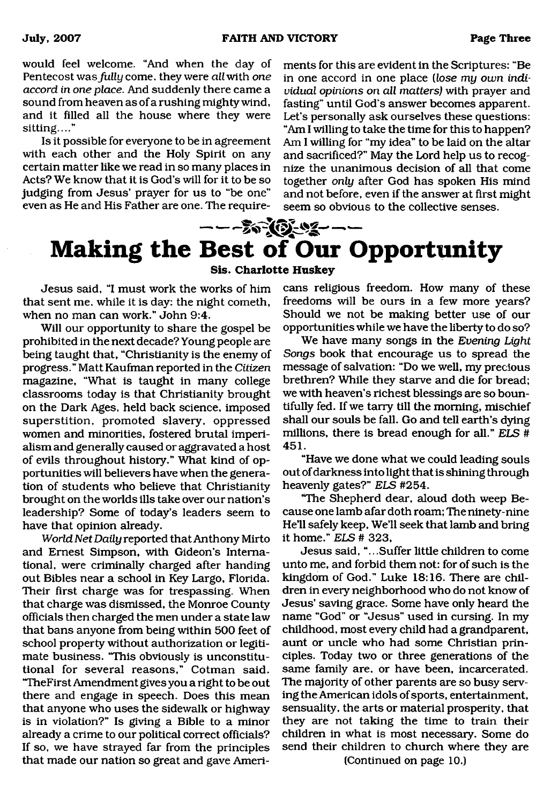would feel welcome. "And when the day of Pentecost was *fully* come, they were all with *one accord in one place.* And suddenly there came a sound from heaven as of a rushing mighty wind, and it filled all the house where they were sitting...."

Is it possible for everyone to be in agreement with each other and the Holy Spirit on any certain matter like we read in so many places in Acts? We know that it is God's will for it to be so judging from Jesus' prayer for us to "be one" even as He and His Father are one. The requirements for this are evident in the Scriptures: "Be in one accord in one place *(lose my own individual opinions on all matters)* with prayer and fasting" until God's answer becomes apparent. Let's personally ask ourselves these questions: "Am I willing to take the time for this to happen? Am I willing for "my idea" to be laid on the altar and sacrificed?" May the Lord help us to recognize the unanimous decision of all that come together *only* after God has spoken His mind and not before, even if the answer at first might seem so obvious to the collective senses.

# $---20(0-2-1)$ **Making the Best of Our Opportunity Sis. Charlotte Huskey**

Jesus said, "I must work the works of him that sent me. while it is day: the night cometh, when no man can work." John 9:4.

Will our opportunity to share the gospel be prohibited in the next decade? Young people are being taught that, "Christianity is the enemy of progress." Matt Kaufman reported in the *Citizen* magazine, "What is taught in many college classrooms today is that Christianity brought on the Dark Ages, held back science, imposed superstition, promoted slavery, oppressed women and minorities, fostered brutal imperialism and generally caused or aggravated a host of evils throughout history." What kind of opportunities will believers have when the generation of students who believe that Christianity brought on the worlds ills take over our nation's leadership? Some of today's leaders seem to have that opinion already.

*World Net Daily* reported that Anthony Mirto and Ernest Simpson, with Gideon's International, were criminally charged after handing out Bibles near a school in Key Largo, Florida. Their first charge was for trespassing. When that charge was dismissed, the Monroe County officials then charged the men under a state law that bans anyone from being within 500 feet of school property without authorization or legitimate business. "This obviously is unconstitutional for several reasons," Cotman said. "TheFirst Amendment gives you a right to be out there and engage in speech. Does this mean that anyone who uses the sidewalk or highway is in violation?" Is giving a Bible to a minor already a crime to our political correct officials? If so, we have strayed far from the principles that made our nation so great and gave Americans religious freedom. How many of these freedoms will be ours in a few more years? Should we not be making better use of our opportunities while we have the liberty to do so?

We have many songs in the *Evening Light Songs* book that encourage us to spread the message of salvation: "Do we well, my precious brethren? While they starve and die for bread; we with heaven's richest blessings are so bountifully fed. If we tarry till the morning, mischief shall our souls be fall. Go and tell earth's dying millions, there is bread enough for all." *ELS* # 451.

"Have we done what we could leading souls out of darkness into light that is shining through heavenly gates?" *ELS* #254.

"The Shepherd dear, aloud doth weep Because one lamb afar doth roam; The ninety-nine He'll safely keep, We'll seek that lamb and bring it home." *ELS* # 323,

Jesus said, ".. .Suffer little children to come unto me, and forbid them not: for of such is the kingdom of God." Luke 18:16. There are children in every neighborhood who do not know of Jesus' saving grace. Some have only heard the name "God" or "Jesus" used in cursing. In my childhood, most every child had a grandparent, aunt or uncle who had some Christian principles. Today two or three generations of the same family are, or have been, incarcerated. The majority of other parents are so busy serving the American idols of sports, entertainment, sensuality, the arts or material prosperity, that they are not taking the time to train their children in what is most necessary. Some do send their children to church where they are

(Continued on page 10.)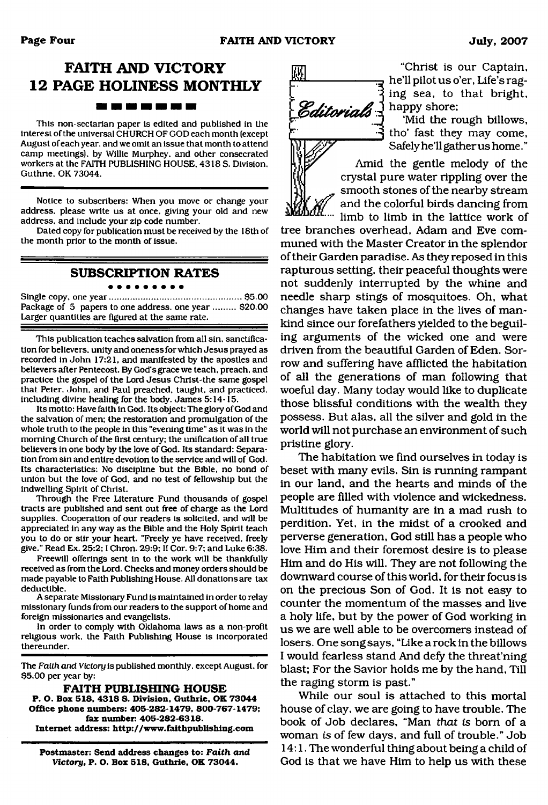# **FAITH AND VICTORY 12 PAGE HOLINESS MONTHLY**

This non-sectarian paper is edited and published in the interest of the universal CHURCH OF GOD each month (except August of each year, and we omit an issue that month to attend camp meetings), by Willie Murphey, and other consecrated workers at the FAITH PUBLISHING HOUSE, 4318 S. Division. Guthrie, OK 73044.

Notice to subscribers: When you move or change your address, please write us at once, giving your old and new address, and include your zip code number.

Dated copy for publication must be received by the 18th of the month prior to the month of issue.

### **SUBSCRIPTION RATES**

#### . . . . . . . . .

Single copy, one year......................................................\$5.00 Package of 5 papers to one address, one year ......... \$20.00 Larger quantities are figured at the same rate.

This publication teaches salvation from all sin. sanctification for believers, unity and oneness for which Jesus prayed as recorded in John 17:21, and manifested by the apostles and believers after Pentecost. By God's grace we teach, preach, and practice the gospel of the Lord Jesus Christ-the same gospel that Peter, John, and Paul preached, taught, and practiced, including divine healing for the body. James 5:14-15.

Its motto: Have faith in God. Its object: The glory of God and the salvation of men; the restoration and promulgation of the whole truth to the people in this "evening time" as it was in the morning Church of the first century: the unification of all true believers in one body by the love of God. Its standard: Separation from sin and entire devotion to the service and will of God. Its characteristics: No discipline but the Bible, no bond of union but the love of God, and no test of fellowship but the indwelling Spirit of Christ.

Through the Free Literature Fund thousands of gospel tracts are published and sent out free of charge as the Lord supplies. Cooperation of our readers is solicited, and will be appreciated in any way as the Bible and the Holy Spirit teach you to do or stir your heart. "Freely ye have received, freely give." Read Ex. 25:2:1 Chron. 29:9; II Cor. 9:7: and Luke 6:38.

Freewill offerings sent in to the work will be thankfully received as from the Lord. Checks and money orders should be made payable to Faith Publishing House. All donations are tax deductible.

A separate Missionary Fund is maintained in order to relay missionary funds from our readers to the support of home and foreign missionaries and evangelists.

In order to comply with Oklahoma laws as a non-profit religious work, the Faith Publishing House is incorporated thereunder.

The *Faith and Victory* is published monthly, except August, for \$5.00 per year by:

**FAITH PUBLISHING HOUSE** 

**P. O. Box 518. 4318 S. Division. Guthrie, OK 73044 Office phone numbers: 405-282-1479, 800-767-1479; fax number: 405-282-6318. Internet address: <http://www.faithpublishing.com>**

**Postmaster: Send address changes to:** *Faith and Victory,* **P. O. Box 518, Guthrie. OK 73044.**



"Christ is our Captain, he'll pilot us o'er, Life's raging sea, to that bright, happy shore;

'Mid the rough billows, tho' fast they may come, Safely he'll gather us home. "

Amid the gentle melody of the crystal pure water rippling over the smooth stones of the nearby stream and the colorful birds dancing from limb to limb in the lattice work of

tree branches overhead, Adam and Eve communed with the Master Creator in the splendor of their Garden paradise. As they reposed in this rapturous setting, their peaceful thoughts were not suddenly interrupted by the whine and needle sharp stings of mosquitoes. Oh, what changes have taken place in the lives of mankind since our forefathers yielded to the beguiling arguments of the wicked one and were driven from the beautiful Garden of Eden. Sorrow and suffering have afflicted the habitation of all the generations of man following that woeful day. Many today would like to duplicate those blissful conditions with the wealth they possess. But alas, all the silver and gold in the world will not purchase an environment of such pristine glory.

The habitation we find ourselves in today is beset with many evils. Sin is running rampant in our land, and the hearts and minds of the people are filled with violence and wickedness. Multitudes of humanity are in a mad rush to perdition. Yet. in the midst of a crooked and perverse generation, God still has a people who love Him and their foremost desire is to please Him and do His will. They are not following the downward course of this world, for their focus is on the precious Son of God. It is not easy to counter the momentum of the masses and live a holy life, but by the power of God working in us we are well able to be overcomers instead of losers. One song says, "Like a rock in the billows I would fearless stand And defy the threat'ning blast; For the Savior holds me by the hand. Till the raging storm is past."

While our soul is attached to this mortal house of clay, we are going to have trouble. The book of Job declares, "Man *that is* bom of a woman *is* of few days, and full of trouble." Job 14:1. The wonderful thing about being a child of God is that we have Him to help us with these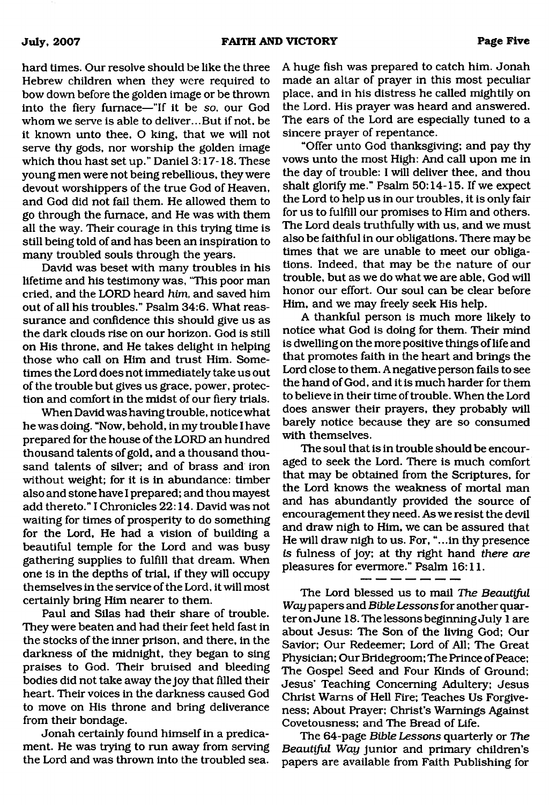hard times. Our resolve should be like the three Hebrew children when they were required to bow down before the golden image or be thrown into the fiery furnace—"If it be so. our God whom we serve is able to deliver...But if not, be it known unto thee, O king, that we will not serve thy gods, nor worship the golden image which thou hast set up." Daniel 3:17-18. These young men were not being rebellious, they were devout worshippers of the true God of Heaven, and God did not fail them. He allowed them to go through the furnace, and He was with them all the way. Their courage in this trying time is still being told of and has been an inspiration to many troubled souls through the years.

David was beset with many troubles in his lifetime and his testimony was, "This poor man cried, and the LORD heard *him,* and saved him out of all his troubles." Psalm 34:6. What reassurance and confidence this should give us as the dark clouds rise on our horizon. God is still on His throne, and He takes delight in helping those who call on Him and trust Him. Sometimes the Lord does not immediately take us out of the trouble but gives us grace, power, protection and comfort in the midst of our fiery trials.

When David was having trouble, notice what he was doing. "Now, behold, in my trouble I have prepared for the house of the LORD an hundred thousand talents of gold, and a thousand thousand talents of silver; and of brass and iron without weight; for it is in abundance: timber also and stone have I prepared; and thou mayest add thereto." I Chronicles 22:14. David was not waiting for times of prosperity to do something for the Lord, He had a vision of building a beautiful temple for the Lord and was busy gathering supplies to fulfill that dream. When one is in the depths of trial, if they will occupy themselves in the service of the Lord, it will most certainly bring Him nearer to them.

Paul and Silas had their share of trouble. They were beaten and had their feet held fast in the stocks of the inner prison, and there, in the darkness of the midnight, they began to sing praises to God. Their bruised and bleeding bodies did not take away the joy that filled their heart. Their voices in the darkness caused God to move on His throne and bring deliverance from their bondage.

Jonah certainly found himself in a predicament. He was trying to run away from serving the Lord and was thrown into the troubled sea.

A huge fish was prepared to catch him. Jonah made an altar of prayer in this most peculiar place, and in his distress he called mightily on the Lord. His prayer was heard and answered. The ears of the Lord are especially tuned to a sincere prayer of repentance.

"Offer unto God thanksgiving; and pay thy vows unto the most High: And call upon me in the day of trouble: I will deliver thee, and thou shalt glorify me." Psalm 50:14-15. If we expect the Lord to help us in our troubles, it is only fair for us to fulfill our promises to Him and others. The Lord deals truthfully with us, and we must also be faithful in our obligations. There may be times that we are unable to meet our obligations. Indeed, that may be the nature of our trouble, but as we do what we are able, God will honor our effort. Our soul can be clear before Him, and we may freely seek His help.

A thankful person is much more likely to notice what God is doing for them. Their mind is dwelling on the more positive things of life and that promotes faith in the heart and brings the Lord close to them. A negative person fails to see the hand of God, and it is much harder for them to believe in their time of trouble. When the Lord does answer their prayers, they probably will barely notice because they are so consumed with themselves.

The soul that is in trouble should be encouraged to seek the Lord. There is much comfort that may be obtained from the Scriptures, for the Lord knows the weakness of mortal man and has abundantly provided the source of encouragement they need. As we resist the devil and draw nigh to Him, we can be assured that He will draw nigh to us. For, "...in thy presence *is* fulness of joy; at thy right hand *there are* pleasures for evermore." Psalm 16:11.

The Lord blessed us to mail *The Beautiful Way* papers and *Bible Lessons* for another quarter on June 18. The lessons beginning July 1 are about Jesus: The Son of the living God; Our Savior; Our Redeemer; Lord of All; The Great Physician; Our Bridegroom; The Prince of Peace; The Gospel Seed and Four Kinds of Ground; Jesus' Teaching Concerning Adultery; Jesus Christ Warns of Hell Fire; Teaches Us Forgiveness; About Prayer; Christ's Warnings Against Covetousness; and The Bread of Life.

The 64-page *Bible Lessons* quarterly or *The Beautiful Way* junior and primary children's papers are available from Faith Publishing for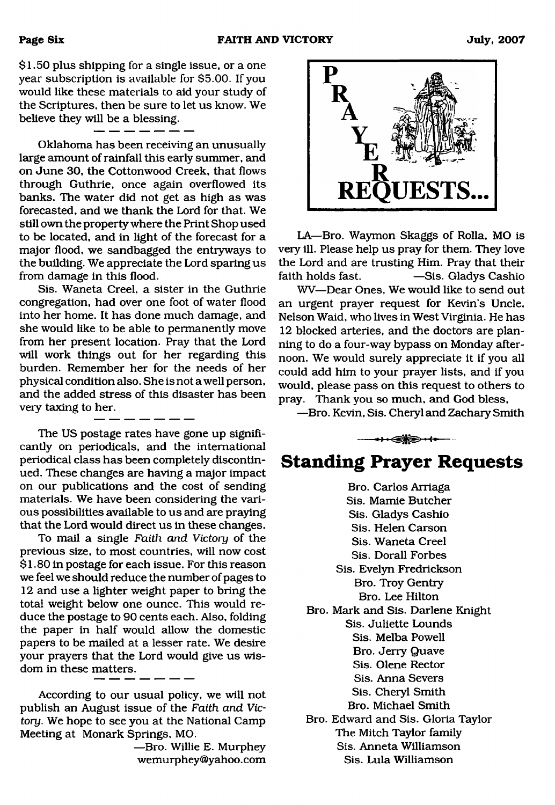\$1.50 plus shipping for a single issue, or a one year subscription is available for \$5.00. If you would like these materials to aid your study of the Scriptures, then be sure to let us know. We believe they will be a blessing.

Oklahoma has been receiving an unusually large amount of rainfall this early summer, and on June 30, the Cottonwood Creek, that flows through Guthrie, once again overflowed its banks. The water did not get as high as was forecasted, and we thank the Lord for that. We still own the property where the Print Shop used to be located, and in light of the forecast for a major flood, we sandbagged the entryways to the building. We appreciate the Lord sparing us from damage in this flood.

Sis. Waneta Creel, a sister in the Guthrie congregation, had over one foot of water flood into her home. It has done much damage, and she would like to be able to permanently move from her present location. Pray that the Lord will work things out for her regarding this burden. Remember her for the needs of her physical condition also. She is not a well person, and the added stress of this disaster has been very taxing to her.

The US postage rates have gone up significantly on periodicals, and the international periodical class has been completely discontinued. These changes are having a major impact on our publications and the cost of sending materials. We have been considering the various possibilities available to us and are praying that the Lord would direct us in these changes.

To mail a single *Faith and Victory* of the previous size, to most countries, will now cost \$ 1.80 in postage for each issue. For this reason we feel we should reduce the number of pages to 12 and use a lighter weight paper to bring the total weight below one ounce. This would reduce the postage to 90 cents each. Also, folding the paper in half would allow the domestic papers to be mailed at a lesser rate. We desire your prayers that the Lord would give us wisdom in these matters.

According to our usual policy, we will not publish an August issue of the *Faith and Victory.* We hope to see you at the National Camp Meeting at Monark Springs, MO.

> —Bro. Willie E. Murphey [wemurphey@yahoo.com](mailto:wemurphey@yahoo.com)



LA—Bro. Waymon Skaggs of Rolla, MO is very ill. Please help us pray for them. They love the Lord and are trusting Him. Pray that their faith holds fast. — Sis. Gladys Cashio

WV—Dear Ones, We would like to send out an urgent prayer request for Kevin's Uncle, Nelson Waid, who lives in West Virginia. He has 12 blocked arteries, and the doctors are planning to do a four-way bypass on Monday afternoon. We would surely appreciate it if you all could add him to your prayer lists, and if you would, please pass on this request to others to pray. Thank you so much, and God bless,

—Bro. Kevin, Sis. Cheryl and Zachary Smith

— •icsjB S'. i.

# **Standing Prayer Requests**

Bro. Carlos Arriaga Sis. Mamie Butcher Sis. Gladys Cashio Sis. Helen Carson Sis. Waneta Creel Sis. Dorall Forbes Sis. Evelyn Fredrickson Bro. Troy Gentry Bro. Lee Hilton Bro. Mark and Sis. Darlene Knight Sis. Juliette Lounds Sis. Melba Powell Bro. Jerry Quave Sis. Olene Rector Sis. Anna Severs Sis. Cheryl Smith Bro. Michael Smith Bro. Edward and Sis. Gloria Taylor The Mitch Taylor family Sis. Anneta Williamson Sis. Lula Williamson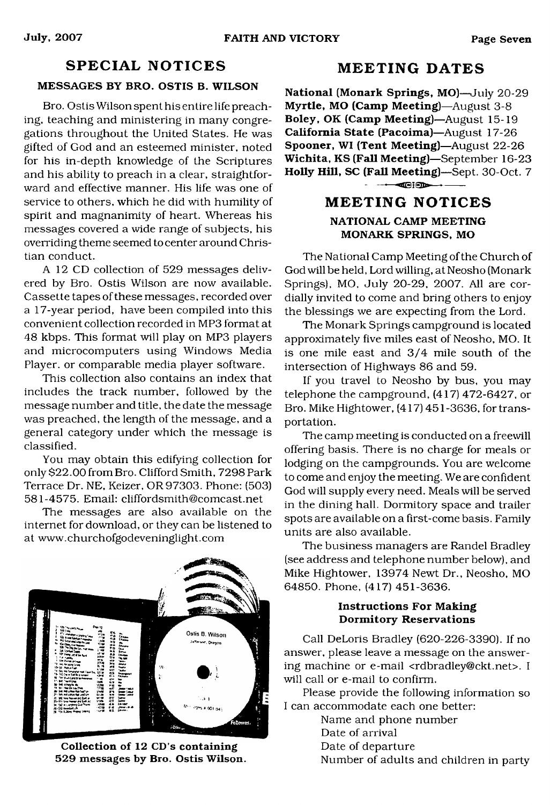# **SPECIAL NOTICES**

### **MESSAGES BY BRO. OSTIS B. WILSON**

Bro. Ostis Wilson spent his entire life preaching, teaching and ministering in many congregations throughout the United States. He was gifted of God and an esteemed minister, noted for his in-depth knowledge of the Scriptures and his ability to preach in a clear, straightforward and effective manner. His life was one of service to others, which he did with humility of spirit and magnanimity of heart. Whereas his messages covered a wide range of subjects, his overriding theme seemed to center around Christian conduct.

A 12 CD collection of 529 messages delivered by Bro. Ostis Wilson are now available. Cassette tapes of these messages, recorded over a 17-year period, have been compiled into this convenient collection recorded in MP3 format at 48 kbps. This format will play on MP3 players and microcomputers using Windows Media Player, or comparable media player software.

This collection also contains an index that includes the track number, followed by the message number and title, the date the message was preached, the length of the message, and a general category under which the message is classified.

You may obtain this edifying collection for only \$22.00 from Bro. Clifford Smith, 7298 Park Terrace Dr. NE, Keizer, OR 97303. Phone: (503) 581-4575. Email: [cliffordsmith@comcast.net](mailto:cliffordsmith@comcast.net)

The messages are also available on the internet for download, or they can be listened to at [www.churchofgodeveninglight.com](http://www.churchofgodeveninglight.com)



**Collection of 12 CD's containing 529 messages by Bro. Ostis Wilson.**

# **M E E T IN G D A TES**

**National (Monark Springs, MO)**—July 20-29 **Myrtle, MO (Camp Meeting)**—August 3-8 **Boley, OK (Camp Meeting)**—August 15-19 **California State (Pacoima)**—August 17-26 **Spooner, WI (Tent Meeting)**—August 22-26 **Wichita, KS (Fall Meeting)**—September 16-23 **Holly Hill, SC (Fall Meeting)**—Sept. 30-Oct. 7  $-$ 

# **M E E T IN G NO T IC ES**

# **NATIONAL CAMP MEETING MONARK SPRINGS, MO**

The National Camp Meeting of the Church of God will be held, Lord willing, at Neosho (Monark Springs), MO, July 20-29, 2007. All are cordially invited to come and bring others to enjoy the blessings we are expecting from the Lord.

The Monark Springs campground is located approximately five miles east of Neosho, MO. It is one mile east and 3/4 mile south of the intersection of Highways 86 and 59.

If you travel to Neosho by bus, you may telephone the campground, (417) 472-6427, or Bro. Mike Hightower, (417) 451-3636, for transportation.

The camp meeting is conducted on a freewill offering basis. There is no charge for meals or lodging on the campgrounds. You are welcome to come and enjoy the meeting. We are confident God will supply every need. Meals will be served in the dining hall. Dormitory space and trailer spots are available on a first-come basis. Family units are also available.

The business managers are Randel Bradley (see address and telephone number below), and Mike Hightower, 13974 Newt Dr., Neosho, MO 64850. Phone, (417) 451-3636.

### **Instructions For Making Dormitory Reservations**

Call DeLoris Bradley (620-226-3390). If no answer, please leave a message on the answering machine or e-mail [<rdbradley@ckt.net](mailto:rdbradley@ckt.net)>. I will call or e-mail to confirm.

Please provide the following information so I can accommodate each one better:

Name and phone number

Date of arrival

Date of departure

Number of adults and children in party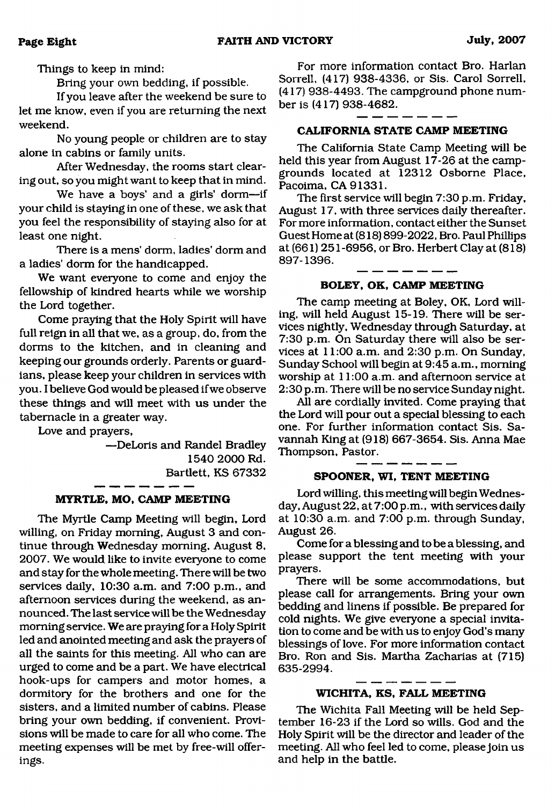Things to keep in mind:

Bring your own bedding, if possible.

If you leave after the weekend be sure to let me know, even if you are returning the next weekend.

No young people or children are to stay alone in cabins or family units.

After Wednesday, the rooms start clearing out, so you might want to keep that in mind.

We have a boys' and a girls' dorm—if your child is staying in one of these, we ask that you feel the responsibility of staying also for at least one night.

There is a mens' dorm, ladies' dorm and a ladies' dorm for the handicapped.

We want everyone to come and enjoy the fellowship of kindred hearts while we worship the Lord together.

Come praying that the Holy Spirit will have full reign in all that we, as a group, do, from the dorms to the kitchen, and in cleaning and keeping our grounds orderly. Parents or guardians, please keep your children in services with you. I believe God would be pleased if we observe these things and will meet with us under the tabernacle in a greater way.

Love and prayers,

—DeLoris and Randel Bradley 1540 2000 Rd. Bartlett, KS 67332

#### **MYRTLE, MO, CAMP MEETING**

The Myrtle Camp Meeting will begin, Lord willing, on Friday morning, August 3 and continue through Wednesday morning, August 8, 2007. We would like to invite everyone to come and stay for the whole meeting. There will be two services daily, 10:30 a.m. and 7:00 p.m., and afternoon services during the weekend, as announced. The last service will be the Wednesday morning service. We are praying for a Holy Spirit led and anointed meeting and ask the prayers of all the saints for this meeting. All who can are urged to come and be a part. We have electrical hook-ups for campers and motor homes, a dormitory for the brothers and one for the sisters, and a limited number of cabins. Please bring your own bedding, if convenient. Provisions will be made to care for all who come. The meeting expenses will be met by free-will offerings.

For more information contact Bro. Harlan Sorrell, (417) 938-4336, or Sis. Carol Sorrell, (417) 938-4493. The campground phone number is (417) 938-4682.

#### **CALIFORNIA STATE CAMP MEETING**

The California State Camp Meeting will be held this year from August 17-26 at the campgrounds located at 12312 Osborne Place, Pacoima, CA 91331.

The first service will begin 7:30 p.m. Friday, August 17, with three services daily thereafter. For more information, contact either the Sunset Guest Home at (818) 899-2022, Bro. Paul Phillips at (661) 251-6956, or Bro. Herbert Clay at (818) 897-1396.

#### **BOLEY, OK, CAMP MEETING**

The camp meeting at Boley, OK, Lord willing, will held August 15-19. There will be services nightly, Wednesday through Saturday, at 7:30 p.m. On Saturday there will also be services at 11:00 a.m. and 2:30 p.m. On Sunday, Sunday School will begin at 9:45 a.m., morning worship at 11:00 a.m. and afternoon service at 2:30 p.m. There will be no service Sunday night.

All are cordially invited. Come praying that the Lord will pour out a special blessing to each one. For further information contact Sis. Savannah King at (918) 667-3654. Sis. Anna Mae Thompson, Pastor.

## **SPOONER, WI, TENT MEETING**

Lord willing, this meeting will begin Wednesday, August 22, at 7:00 p.m., with services daily at 10:30 a.m. and 7:00 p.m. through Sunday, August 26.

Come for a blessing and to be a blessing, and please support the tent meeting with your prayers.

There will be some accommodations, but please call for arrangements. Bring your own bedding and linens if possible. Be prepared for cold nights. We give everyone a special invitation to come and be with us to enjoy God's many blessings of love. For more information contact Bro. Ron and Sis. Martha Zacharias at (715) 635-2994.

#### **W ICHITA, KS, FALL MEETING**

The Wichita Fall Meeting will be held September 16-23 if the Lord so wills. God and the Holy Spirit will be the director and leader of the meeting. All who feel led to come, please join us and help in the battle.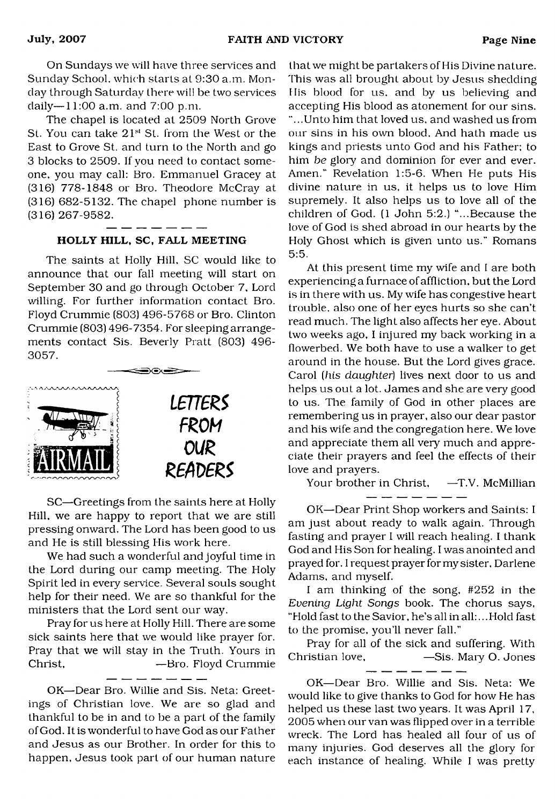On Sundays we will have three services and Sunday School, which starts at 9:30 a.m. Monday through Saturday there will be two services daily— 11:00 a.m. and 7:00 p.m.

The chapel is located at 2509 North Grove St. You can take 21<sup>st</sup> St. from the West or the East to Grove St. and turn to the North and go 3 blocks to 2509. If you need to contact someone, you may call: Bro. Emmanuel Gracey at (316) 778-1848 or Bro. Theodore McCray at (316) 682-5132. The chapel phone number is (316) 267-9582.

#### HOLLY HILL, SC, FALL MEETING

The saints at Holly Hill, SC would like to announce that our fall meeting will start on September 30 and go through October 7, Lord willing. For further information contact Bro. Floyd Crummie (803) 496-5768 or Bro. Clinton Crummie (803) 496-7354. For sleeping arrangements contact Sis. Beverly Pratt (803) 496- 3057.



SC—Greetings from the saints here at Holly Hill, we are happy to report that we are still pressing onward. The Lord has been good to us and He is still blessing His work here.

We had such a wonderful and joyful time in the Lord during our camp meeting. The Holy Spirit led in every service. Several souls sought help for their need. We are so thankful for the ministers that the Lord sent our way.

Pray for us here at Holly Hill. There are some sick saints here that we would like prayer for. Pray that we will stay in the Truth. Yours in Christ, — Bro. Floyd Crummie

OK—Dear Bro. Willie and Sis. Neta: Greetings of Christian love. We are so glad and thankful to be in and to be a part of the family of God. It is wonderful to have God as our Father and Jesus as our Brother. In order for this to happen, Jesus took part of our human nature that we might be partakers of His Divine nature. This was all brought about by Jesus shedding His blood for us, and by us believing and accepting His blood as atonement for our sins. "...Unto him that loved us, and washed us from our sins in his own blood. And hath made us kings and priests unto God and his Father: to him *be* glory and dominion for ever and ever. Amen." Revelation 1:5-6. When He puts His divine nature in us, it helps us to love Him supremely. It also helps us to love all of the children of God. (1 John 5:2.) "...Because the love of God is shed abroad in our hearts by the Holy Ghost which is given unto us." Romans 5:5.

At this present time my wife and I are both experiencing a furnace of affliction, but the Lord is in there with us. My wife has congestive heart trouble, also one of her eyes hurts so she can't read much. The light also affects her eye. About two weeks ago, I injured my back working in a flowerbed. We both have to use a walker to get around in the house. But the Lord gives grace. Carol *(his daughter*) lives next door to us and helps us out a lot. James and she are very good to us. The family of God in other places are remembering us in prayer, also our dear pastor and his wife and the congregation here. We love and appreciate them all very much and appreciate their prayers and feel the effects of their love and prayers.

Your brother in Christ, -T.V. McMillian \_\_ \_\_ \_\_ \_\_ \_\_ \_\_

OK—Dear Print Shop workers and Saints: I am just about ready to walk again. Through fasting and prayer I will reach healing. I thank God and His Son for healing. I was anointed and prayed for. I request prayer for my sister, Darlene Adams, and myself.

I am thinking of the song, #252 in the *Evening Light Songs* book. The chorus says, "Hold fast to the Savior, he's all in all:.. .Hold fast to the promise, you'll never fall."

Pray for all of the sick and suffering. With Christian love, —Sis. Mary O. Jones

- -- -- -- -- --

OK—Dear Bro. Willie and Sis. Neta: We would like to give thanks to God for how He has helped us these last two years. It was April 17, 2005 when our van was flipped over in a terrible wreck. The Lord has healed all four of us of many injuries. God deserves all the glory for each instance of healing. While I was pretty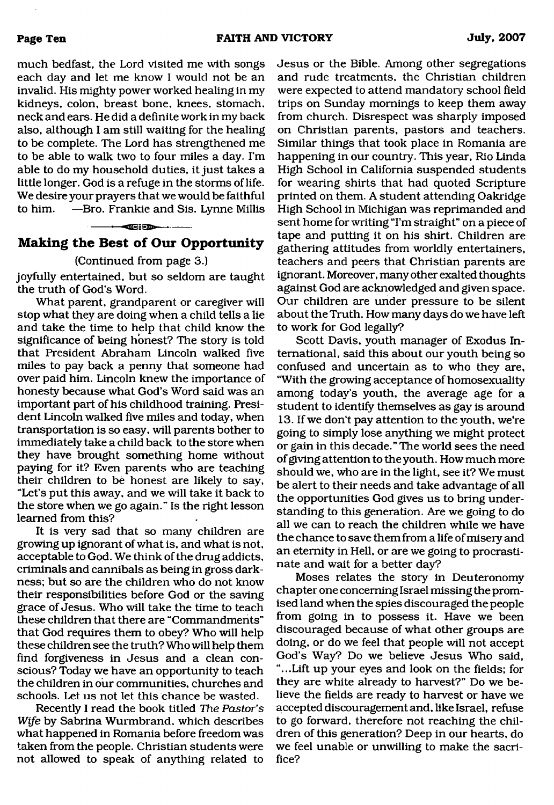much bedfast, the Lord visited me with songs each day and let me know I would not be an invalid. His mighty power worked healing in my kidneys, colon, breast bone, knees, stomach, neck and ears. He did a definite work in my back also, although I am still waiting for the healing to be complete. The Lord has strengthened me to be able to walk two to four miles a day. I'm able to do my household duties, it just takes a little longer. God is a refuge in the storms of life. We desire your prayers that we would be faithful to him. —Bro. Frankie and Sis. Lynne Millis

#### **---------—<SSi€B>— \*-------**

## **Making the Best of Our Opportunity**

#### (Continued from page 3.)

joyfully entertained, but so seldom are taught the truth of God's Word.

What parent, grandparent or caregiver will stop what they are doing when a child tells a lie and take the time to help that child know the significance of being honest? The story is told that President Abraham Lincoln walked five miles to pay back a penny that someone had over paid him. Lincoln knew the importance of honesty because what God's Word said was an important part of his childhood training. President Lincoln walked five miles and today, when transportation is so easy, will parents bother to immediately take a child back to the store when they have brought something home without paying for it? Even parents who are teaching their children to be honest are likely to say, "Let's put this away, and we will take it back to the store when we go again." Is the right lesson learned from this?

It is very sad that so many children are growing up ignorant of what is, and what is not, acceptable to God. We think of the drug addicts, criminals and cannibals as being in gross darkness; but so are the children who do not know their responsibilities before God or the saving grace of Jesus. Who will take the time to teach these children that there are "Commandments" that God requires them to obey? Who will help these children see the truth? Who will help them find forgiveness in Jesus and a clean conscious? Today we have an opportunity to teach the children in our communities, churches and schools. Let us not let this chance be wasted.

Recently I read the book titled *The Pastor's Wife* by Sabrina Wurmbrand, which describes what happened in Romania before freedom was taken from the people. Christian students were not allowed to speak of anything related to

Jesus or the Bible. Among other segregations and rude treatments, the Christian children were expected to attend mandatory school field trips on Sunday mornings to keep them away from church. Disrespect was sharply imposed on Christian parents, pastors and teachers. Similar things that took place in Romania are happening in our country. This year, Rio Linda High School in California suspended students for wearing shirts that had quoted Scripture printed on them. A student attending Oakridge High School in Michigan was reprimanded and sent home for writing "I'm straight" on a piece of tape and putting it on his shirt. Children are gathering attitudes from worldly entertainers, teachers and peers that Christian parents are ignorant. Moreover, many other exalted thoughts against God are acknowledged and given space. Our children are under pressure to be silent about the Truth. How many days do we have left to work for God legally?

Scott Davis, youth manager of Exodus International, said this about our youth being so confused and uncertain as to who they are, "With the growing acceptance of homosexuality among today's youth, the average age for a student to identify themselves as gay is around 13. If we don't pay attention to the youth, we're going to simply lose anything we might protect or gain in this decade." The world sees the need of giving attention to the youth. How much more should we, who are in the light, see it? We must be alert to their needs and take advantage of all the opportunities God gives us to bring understanding to this generation. Are we going to do all we can to reach the children while we have the chance to save them from a life of misery and an eternity in Hell, or are we going to procrastinate and wait for a better day?

Moses relates the story in Deuteronomy chapter one concerning Israel missing the promised land when the spies discouraged the people from going in to possess it. Have we been discouraged because of what other groups are doing, or do we feel that people will not accept God's Way? Do we believe Jesus Who said, "...Lift up your eyes and look on the fields; for they are white already to harvest?" Do we believe the fields are ready to harvest or have we accepted discouragement and, like Israel, refuse to go forward, therefore not reaching the children of this generation? Deep in our hearts, do we feel unable or unwilling to make the sacrifice?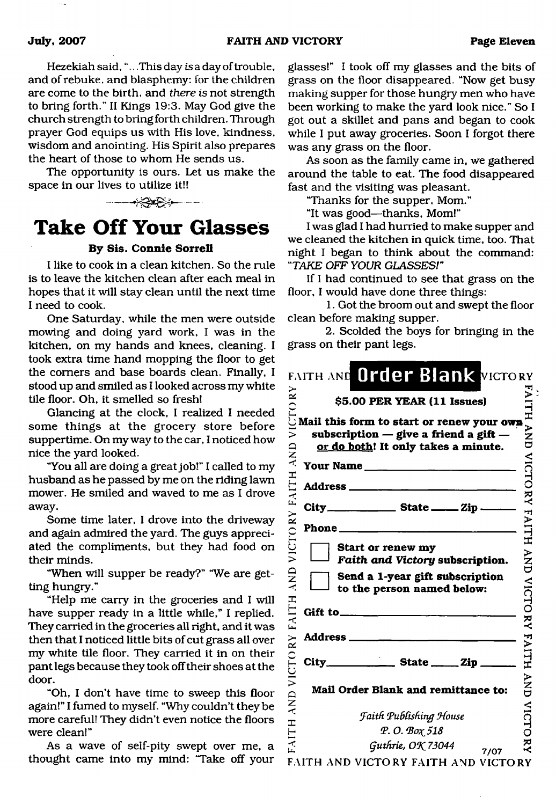Hezekiah said, " $\ldots$  This day is a day of trouble, and of rebuke, and blasphemy: for the children are come to the birth, and *there is* not strength to bring forth." II Kings 19:3. May God give the church strength to bring forth children. Through prayer God equips us with His love, kindness, wisdom and anointing. His Spirit also prepares the heart of those to whom He sends us.

The opportunity is ours. Let us make the space in our lives to utilize it!!

# <span id="page-10-0"></span>**Take Off Your Glasses**

### **By Sis. Connie Sorrell**

I like to cook in a clean kitchen. So the rule is to leave the kitchen clean after each meal in hopes that it will stay clean until the next time I need to cook.

One Saturday, while the men were outside mowing and doing yard work, I was in the kitchen, on my hands and knees, cleaning. I took extra time hand mopping the floor to get the comers and base boards clean. Finally, I stood up and smiled as I looked across my white tile floor. Oh, it smelled so fresh!

Glancing at the clock, I realized I needed some things at the grocery store before suppertime. On my way to the car, I noticed how nice the yard looked.

"You all are doing a great job!" I called to my husband as he passed by me on the riding lawn mower. He smiled and waved to me as I drove away.

Some time later, I drove into the driveway and again admired the yard. The guys appreciated the compliments, but they had food on their minds.

"When will supper be ready?" "We are getting hungry."

"Help me carry in the groceries and I will have supper ready in a little while," I replied. They carried in the groceries all right, and it was then that I noticed little bits of cut grass all over my white tile floor. They carried it in on their pant legs because they took off their shoes at the door.

"Oh, I don't have time to sweep this floor again!" I fumed to myself. "Why couldn't they be more careful! They didn't even notice the floors were clean!"

As a wave of self-pity swept over me, a thought came into my mind: "Take off your glasses!" I took off my glasses and the bits of grass on the floor disappeared. "Now get busy making supper for those hungry men who have been working to make the yard look nice." So I got out a skillet and pans and began to cook while I put away groceries. Soon I forgot there was any grass on the floor.

As soon as the family came in, we gathered around the table to eat. The food disappeared fast and the visiting was pleasant.

"Thanks for the supper. Mom."

"It was good—thanks, Mom!"

I was glad I had hurried to make supper and we cleaned the kitchen in quick time, too. That night I began to think about the command: *UTAKE OFF YOUR GLASSES*/"

If I had continued to see that grass on the floor, I would have done three things:

1. Got the broom out and swept the floor clean before making supper.

2. Scolded the boys for bringing in the grass on their pant legs.

|                    | FAITH AND Order Blank VICTORY<br>\$5.00 PER YEAR (11 Issues)                                                                  |                                                                                          |
|--------------------|-------------------------------------------------------------------------------------------------------------------------------|------------------------------------------------------------------------------------------|
| CTORY<br>$\bar{z}$ | Mail this form to start or renew your own<br>subscription $-$ give a friend a gift $-$<br>or do both! It only takes a minute. | FAILH ND VICTO NA ANTH AND VICTO RAILH AND NOTO NA FAILH AND VICTO NA FAILH AND VICTO RA |
| VICTORY FAITH AND  | Your Name                                                                                                                     |                                                                                          |
| City_              | $S$ tate $\_\_\_$ Zip $\_\_\_\$                                                                                               |                                                                                          |
| <b>QNY</b>         | Start or renew my<br>Faith and Victory subscription.<br>Send a 1-year gift subscription<br>to the person named below:         |                                                                                          |
| AND VICTORY FAITH  | Gift to_                                                                                                                      |                                                                                          |
|                    | Address <sub>____</sub><br>$City$ State $\_\_$ State $\_\_$                                                                   |                                                                                          |
|                    | Mail Order Blank and remittance to:                                                                                           |                                                                                          |
|                    | <b>Faith Publishing House</b>                                                                                                 |                                                                                          |
| FAITH              | P.O. Box 518<br>Guthrie, OK 73044<br>7/07                                                                                     |                                                                                          |